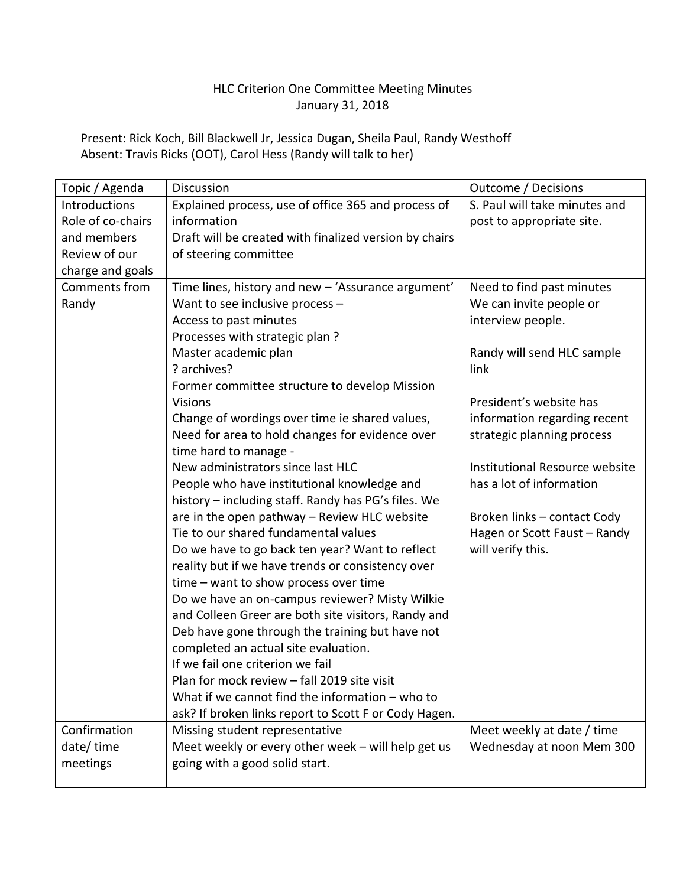## HLC Criterion One Committee Meeting Minutes January 31, 2018

Present: Rick Koch, Bill Blackwell Jr, Jessica Dugan, Sheila Paul, Randy Westhoff Absent: Travis Ricks (OOT), Carol Hess (Randy will talk to her)

| Topic / Agenda    | Discussion                                             | <b>Outcome / Decisions</b>     |
|-------------------|--------------------------------------------------------|--------------------------------|
| Introductions     | Explained process, use of office 365 and process of    | S. Paul will take minutes and  |
| Role of co-chairs | information                                            | post to appropriate site.      |
| and members       | Draft will be created with finalized version by chairs |                                |
| Review of our     | of steering committee                                  |                                |
| charge and goals  |                                                        |                                |
| Comments from     | Time lines, history and new - 'Assurance argument'     | Need to find past minutes      |
| Randy             | Want to see inclusive process -                        | We can invite people or        |
|                   | Access to past minutes                                 | interview people.              |
|                   | Processes with strategic plan?                         |                                |
|                   | Master academic plan                                   | Randy will send HLC sample     |
|                   | ? archives?                                            | link                           |
|                   | Former committee structure to develop Mission          |                                |
|                   | <b>Visions</b>                                         | President's website has        |
|                   | Change of wordings over time ie shared values,         | information regarding recent   |
|                   | Need for area to hold changes for evidence over        | strategic planning process     |
|                   | time hard to manage -                                  |                                |
|                   | New administrators since last HLC                      | Institutional Resource website |
|                   | People who have institutional knowledge and            | has a lot of information       |
|                   | history - including staff. Randy has PG's files. We    |                                |
|                   | are in the open pathway - Review HLC website           | Broken links - contact Cody    |
|                   | Tie to our shared fundamental values                   | Hagen or Scott Faust - Randy   |
|                   | Do we have to go back ten year? Want to reflect        | will verify this.              |
|                   | reality but if we have trends or consistency over      |                                |
|                   | time - want to show process over time                  |                                |
|                   | Do we have an on-campus reviewer? Misty Wilkie         |                                |
|                   | and Colleen Greer are both site visitors, Randy and    |                                |
|                   | Deb have gone through the training but have not        |                                |
|                   | completed an actual site evaluation.                   |                                |
|                   | If we fail one criterion we fail                       |                                |
|                   | Plan for mock review - fall 2019 site visit            |                                |
|                   | What if we cannot find the information $-$ who to      |                                |
|                   | ask? If broken links report to Scott F or Cody Hagen.  |                                |
| Confirmation      | Missing student representative                         | Meet weekly at date / time     |
| date/time         | Meet weekly or every other week - will help get us     | Wednesday at noon Mem 300      |
| meetings          | going with a good solid start.                         |                                |
|                   |                                                        |                                |